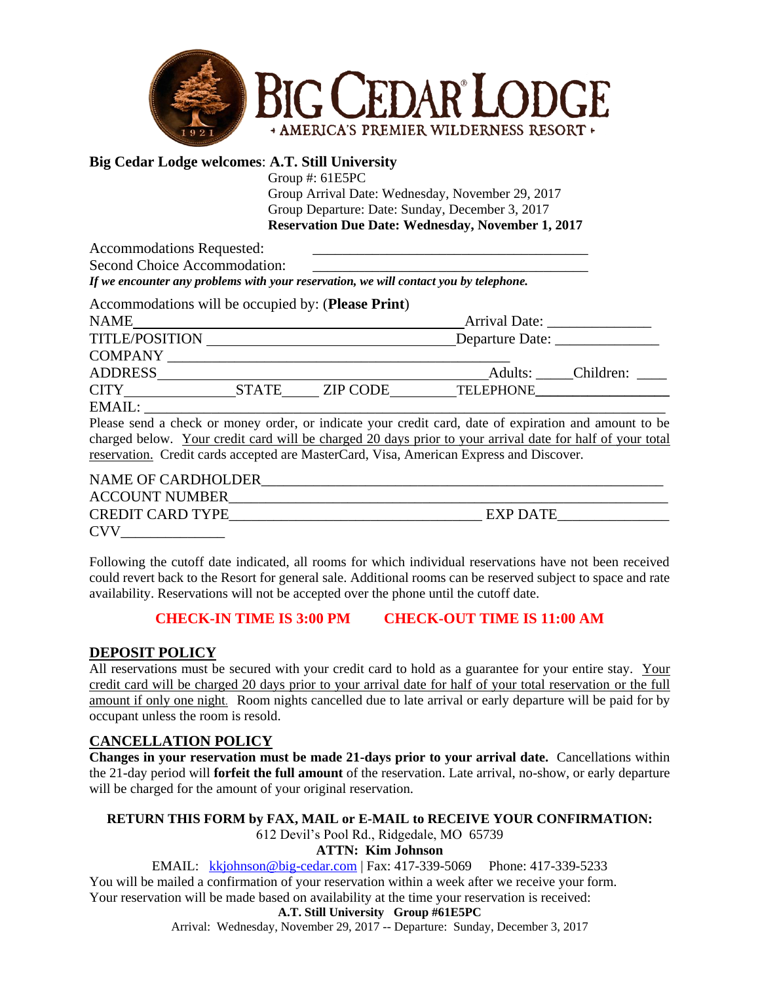

## **Big Cedar Lodge welcomes**: **A.T. Still University**

Group #: 61E5PC Group Arrival Date: Wednesday, November 29, 2017 Group Departure: Date: Sunday, December 3, 2017 **Reservation Due Date: Wednesday, November 1, 2017**

Accommodations Requested:

Second Choice Accommodation:

*If we encounter any problems with your reservation, we will contact you by telephone.*

| Accommodations will be occupied by: (Please Print) |       |          |                                                                                                               |                   |
|----------------------------------------------------|-------|----------|---------------------------------------------------------------------------------------------------------------|-------------------|
| <b>NAME</b>                                        |       |          | Arrival Date:                                                                                                 |                   |
| <b>TITLE/POSITION</b>                              |       |          | Departure Date: _______________                                                                               |                   |
| <b>COMPANY</b>                                     |       |          |                                                                                                               |                   |
| ADDRESS                                            |       |          |                                                                                                               | Adults: Children: |
|                                                    | STATE | ZIP CODE | <b>TELEPHONE</b>                                                                                              |                   |
| EMAIL:                                             |       |          |                                                                                                               |                   |
|                                                    |       |          | . Descended a skarte se manar cultura de la disata como secolita sont utilista al contextore senti secondo ta |                   |

Please send a check or money order, or indicate your credit card, date of expiration and amount to be charged below. Your credit card will be charged 20 days prior to your arrival date for half of your total reservation. Credit cards accepted are MasterCard, Visa, American Express and Discover.

| NAME OF CARDHOLDER      |          |
|-------------------------|----------|
| <b>ACCOUNT NUMBER</b>   |          |
| <b>CREDIT CARD TYPE</b> | EXP DATE |
| <b>CVV</b>              |          |

Following the cutoff date indicated, all rooms for which individual reservations have not been received could revert back to the Resort for general sale. Additional rooms can be reserved subject to space and rate availability. Reservations will not be accepted over the phone until the cutoff date.

## **CHECK-IN TIME IS 3:00 PM CHECK-OUT TIME IS 11:00 AM**

## **DEPOSIT POLICY**

All reservations must be secured with your credit card to hold as a guarantee for your entire stay. Your credit card will be charged 20 days prior to your arrival date for half of your total reservation or the full amount if only one night. Room nights cancelled due to late arrival or early departure will be paid for by occupant unless the room is resold.

## **CANCELLATION POLICY**

**Changes in your reservation must be made 21-days prior to your arrival date.** Cancellations within the 21-day period will **forfeit the full amount** of the reservation. Late arrival, no-show, or early departure will be charged for the amount of your original reservation.

## **RETURN THIS FORM by FAX, MAIL or E-MAIL to RECEIVE YOUR CONFIRMATION:** 612 Devil's Pool Rd., Ridgedale, MO 65739

## **ATTN: Kim Johnson**

EMAIL: <kkjohnson@big-cedar.com> | Fax: 417-339-5069 Phone: 417-339-5233 You will be mailed a confirmation of your reservation within a week after we receive your form. Your reservation will be made based on availability at the time your reservation is received:

## **A.T. Still University Group #61E5PC**

Arrival: Wednesday, November 29, 2017 -- Departure: Sunday, December 3, 2017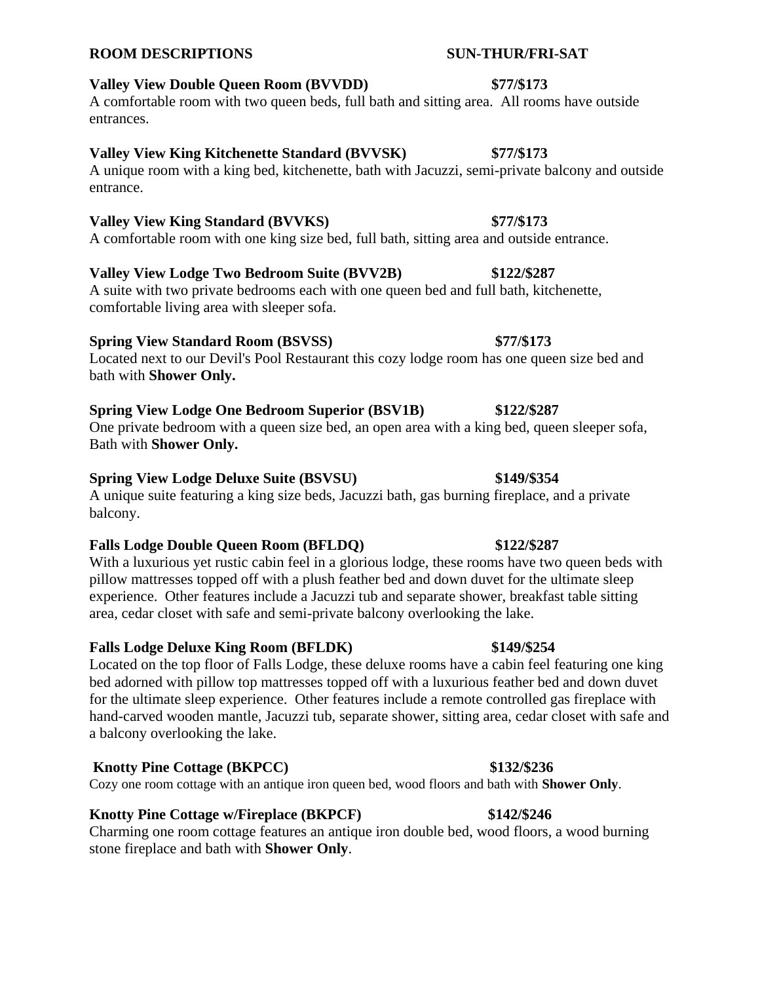# **Valley View Double Queen Room (BVVDD) \$77/\$173**

A comfortable room with two queen beds, full bath and sitting area. All rooms have outside entrances.

## **Valley View King Kitchenette Standard (BVVSK) \$77/\$173**

A unique room with a king bed, kitchenette, bath with Jacuzzi, semi-private balcony and outside entrance.

# **Valley View King Standard (BVVKS) \$77/\$173**

A comfortable room with one king size bed, full bath, sitting area and outside entrance.

# **Valley View Lodge Two Bedroom Suite (BVV2B) \$122/\$287**

A suite with two private bedrooms each with one queen bed and full bath, kitchenette, comfortable living area with sleeper sofa.

# **Spring View Standard Room (BSVSS) \$77/\$173**

Located next to our Devil's Pool Restaurant this cozy lodge room has one queen size bed and bath with **Shower Only.** 

# **Spring View Lodge One Bedroom Superior (BSV1B) \$122/\$287**

One private bedroom with a queen size bed, an open area with a king bed, queen sleeper sofa, Bath with **Shower Only.** 

# **Spring View Lodge Deluxe Suite (BSVSU) \$149/\$354**

A unique suite featuring a king size beds, Jacuzzi bath, gas burning fireplace, and a private balcony.

# **Falls Lodge Double Queen Room (BFLDQ) \$122/\$287**

With a luxurious yet rustic cabin feel in a glorious lodge, these rooms have two queen beds with pillow mattresses topped off with a plush feather bed and down duvet for the ultimate sleep experience. Other features include a Jacuzzi tub and separate shower, breakfast table sitting area, cedar closet with safe and semi-private balcony overlooking the lake.

# **Falls Lodge Deluxe King Room (BFLDK) \$149/\$254**

Located on the top floor of Falls Lodge, these deluxe rooms have a cabin feel featuring one king bed adorned with pillow top mattresses topped off with a luxurious feather bed and down duvet for the ultimate sleep experience. Other features include a remote controlled gas fireplace with hand-carved wooden mantle, Jacuzzi tub, separate shower, sitting area, cedar closet with safe and a balcony overlooking the lake.

# **Knotty Pine Cottage (BKPCC) \$132/\$236**

Cozy one room cottage with an antique iron queen bed, wood floors and bath with **Shower Only**.

# **Knotty Pine Cottage w/Fireplace (BKPCF) \$142/\$246**

Charming one room cottage features an antique iron double bed, wood floors, a wood burning stone fireplace and bath with **Shower Only**.

# **ROOM DESCRIPTIONS SUN-THUR/FRI-SAT**